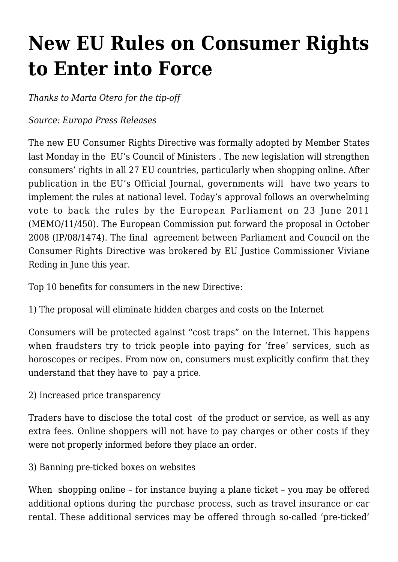## **[New EU Rules on Consumer Rights](https://conflictoflaws.net/2011/new-eu-rules-on-consumer-rights-to-enter-into-force/) [to Enter into Force](https://conflictoflaws.net/2011/new-eu-rules-on-consumer-rights-to-enter-into-force/)**

*Thanks to Marta Otero for the tip-off*

## *Source: Europa Press Releases*

The new EU Consumer Rights Directive was formally adopted by Member States last Monday in the EU's Council of Ministers . The new legislation will strengthen consumers' rights in all 27 EU countries, particularly when shopping online. After publication in the EU's Official Journal, governments will have two years to implement the rules at national level. Today's approval follows an overwhelming vote to back the rules by the European Parliament on 23 June 2011 [\(MEMO/11/450\)](http://europa.eu/rapid/pressReleasesAction.do?reference=MEMO/11/450&format=HTML&aged=1&language=EN&guiLanguage=en). The European Commission put forward the proposal in October 2008 [\(IP/08/1474\)](http://europa.eu/rapid/pressReleasesAction.do?reference=IP/08/1474). The final agreement between Parliament and Council on the Consumer Rights Directive was brokered by EU Justice Commissioner Viviane Reding in June this year.

Top 10 benefits for consumers in the new Directive:

1) The proposal will eliminate hidden charges and costs on the Internet

Consumers will be protected against "cost traps" on the Internet. This happens when fraudsters try to trick people into paying for 'free' services, such as horoscopes or recipes. From now on, consumers must explicitly confirm that they understand that they have to pay a price.

2) Increased price transparency

Traders have to disclose the total cost of the product or service, as well as any extra fees. Online shoppers will not have to pay charges or other costs if they were not properly informed before they place an order.

3) Banning pre-ticked boxes on websites

When shopping online – for instance buying a plane ticket – you may be offered additional options during the purchase process, such as travel insurance or car rental. These additional services may be offered through so-called 'pre-ticked'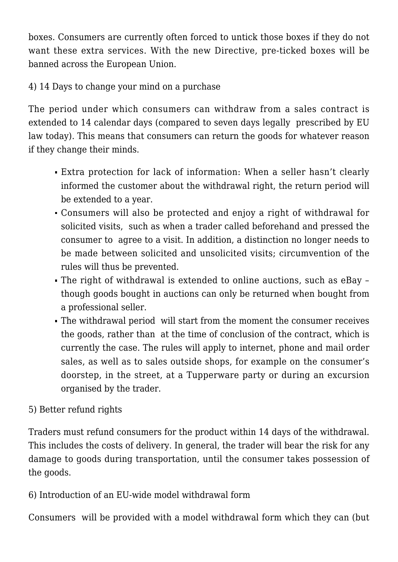boxes. Consumers are currently often forced to untick those boxes if they do not want these extra services. With the new Directive, pre-ticked boxes will be banned across the European Union.

4) 14 Days to change your mind on a purchase

The period under which consumers can withdraw from a sales contract is extended to 14 calendar days (compared to seven days legally prescribed by EU law today). This means that consumers can return the goods for whatever reason if they change their minds.

- Extra protection for lack of information: When a seller hasn't clearly informed the customer about the withdrawal right, the return period will be extended to a year.
- Consumers will also be protected and enjoy a right of withdrawal for solicited visits, such as when a trader called beforehand and pressed the consumer to agree to a visit. In addition, a distinction no longer needs to be made between solicited and unsolicited visits; circumvention of the rules will thus be prevented.
- The right of withdrawal is extended to online auctions, such as eBay though goods bought in auctions can only be returned when bought from a professional seller.
- The withdrawal period will start from the moment the consumer receives the goods, rather than at the time of conclusion of the contract, which is currently the case. The rules will apply to internet, phone and mail order sales, as well as to sales outside shops, for example on the consumer's doorstep, in the street, at a Tupperware party or during an excursion organised by the trader.

## 5) Better refund rights

Traders must refund consumers for the product within 14 days of the withdrawal. This includes the costs of delivery. In general, the trader will bear the risk for any damage to goods during transportation, until the consumer takes possession of the goods.

6) Introduction of an EU-wide model withdrawal form

Consumers will be provided with a model withdrawal form which they can (but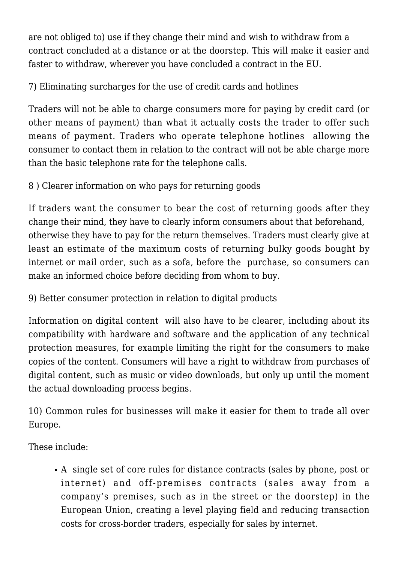are not obliged to) use if they change their mind and wish to withdraw from a contract concluded at a distance or at the doorstep. This will make it easier and faster to withdraw, wherever you have concluded a contract in the EU.

7) Eliminating surcharges for the use of credit cards and hotlines

Traders will not be able to charge consumers more for paying by credit card (or other means of payment) than what it actually costs the trader to offer such means of payment. Traders who operate telephone hotlines allowing the consumer to contact them in relation to the contract will not be able charge more than the basic telephone rate for the telephone calls.

8 ) Clearer information on who pays for returning goods

If traders want the consumer to bear the cost of returning goods after they change their mind, they have to clearly inform consumers about that beforehand, otherwise they have to pay for the return themselves. Traders must clearly give at least an estimate of the maximum costs of returning bulky goods bought by internet or mail order, such as a sofa, before the purchase, so consumers can make an informed choice before deciding from whom to buy.

9) Better consumer protection in relation to digital products

Information on digital content will also have to be clearer, including about its compatibility with hardware and software and the application of any technical protection measures, for example limiting the right for the consumers to make copies of the content. Consumers will have a right to withdraw from purchases of digital content, such as music or video downloads, but only up until the moment the actual downloading process begins.

10) Common rules for businesses will make it easier for them to trade all over Europe.

These include:

A single set of core rules for distance contracts (sales by phone, post or internet) and off-premises contracts (sales away from a company's premises, such as in the street or the doorstep) in the European Union, creating a level playing field and reducing transaction costs for cross-border traders, especially for sales by internet.